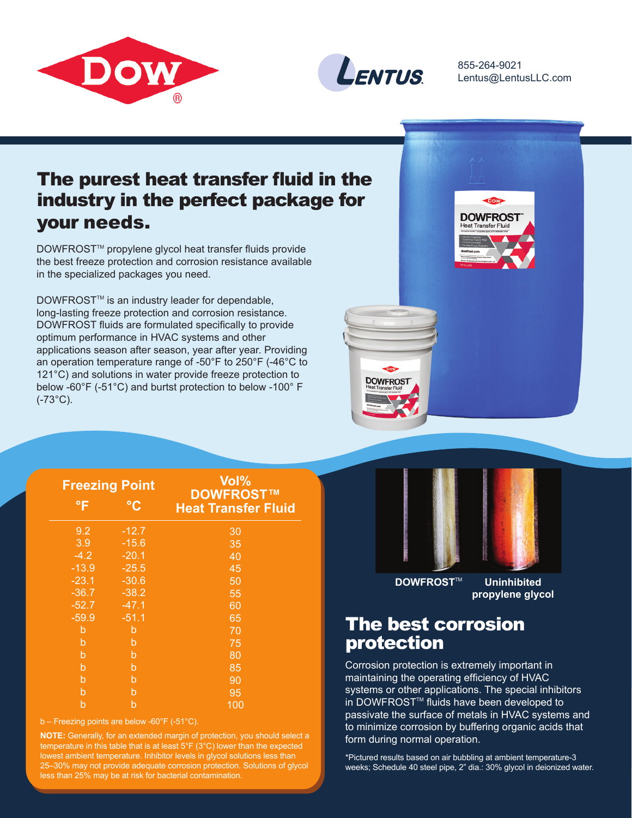



855-264-9021 Lentus@LentusLLC.com

## The purest heat transfer fluid in the industry in the perfect package for your needs.

DOWFROST<sup>™</sup> propylene glycol heat transfer fluids provide the best freeze protection and corrosion resistance available in the specialized packages you need.

DOWFROST<sup>™</sup> is an industry leader for dependable, long-lasting freeze protection and corrosion resistance. DOWFROST fluids are formulated specifically to provide optimum performance in HVAC systems and other applications season after season, year after year. Providing an operation temperature range of -50°F to 250°F (-46°C to 121°C) and solutions in water provide freeze protection to below -60°F (-51°C) and burtst protection to below -100° F (-73°C).



| <b>Freezing Point</b> |                 | Vol%<br>DOWFROST™          |  |
|-----------------------|-----------------|----------------------------|--|
| °F                    | $\rm ^{\circ}C$ | <b>Heat Transfer Fluid</b> |  |
| 9.2                   | $-12.7$         | 30                         |  |
| 3.9                   | $-15.6$         | 35                         |  |
| $-4.2$                | $-20.1$         | 40                         |  |
| $-13.9$               | $-25.5$         | 45                         |  |
| $-23.1$               | $-30.6$         | 50                         |  |
| $-36.7$               | $-38.2$         | 55                         |  |
| $-52.7$               | $-47.1$         | 60                         |  |
| $-59.9$               | $-51.1$         | 65                         |  |
| b                     | b               | 70                         |  |
| b                     | $\mathsf{b}$    | 75                         |  |
| b                     | b               | 80                         |  |
| b                     | b               | 85                         |  |
| b                     | b               | 90                         |  |
| b                     | b               | 95                         |  |
| b                     | b               | 100                        |  |

b – Freezing points are below -60°F (-51°C).

**NOTE:** Generally, for an extended margin of protection, you should select a temperature in this table that is at least  $5^{\circ}F(3^{\circ}C)$  lower than the expected lowest ambient temperature. Inhibitor levels in glycol solutions less than 25–30% may not provide adequate corrosion protection. Solutions of glycol less than 25% may be at risk for bacterial contamination.



**DOWFROST<sup>™</sup> Uninhibited** 

**propylene glycol**

## The best corrosion protection

Corrosion protection is extremely important in maintaining the operating efficiency of HVAC systems or other applications. The special inhibitors in DOWFROST<sup>™</sup> fluids have been developed to passivate the surface of metals in HVAC systems and to minimize corrosion by buffering organic acids that form during normal operation.

\*Pictured results based on air bubbling at ambient temperature-3 weeks; Schedule 40 steel pipe, 2" dia.: 30% glycol in deionized water.